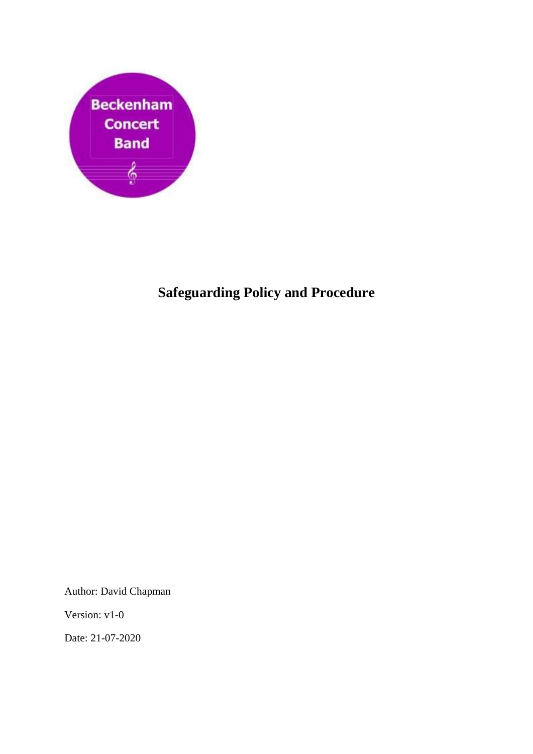

## **Safeguarding Policy and Procedure**

Author: David Chapman

Version: v1-0

Date: 21-07-2020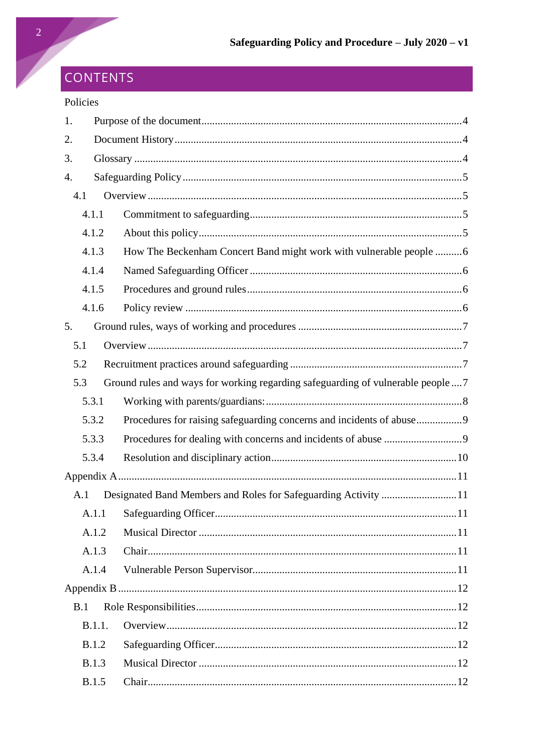# CONTENTS

## Policies

| 1.  |              |                                                                                |  |  |
|-----|--------------|--------------------------------------------------------------------------------|--|--|
| 2.  |              |                                                                                |  |  |
| 3.  |              |                                                                                |  |  |
| 4.  |              |                                                                                |  |  |
| 4.1 |              |                                                                                |  |  |
|     | 4.1.1        |                                                                                |  |  |
|     | 4.1.2        |                                                                                |  |  |
|     | 4.1.3        | How The Beckenham Concert Band might work with vulnerable people 6             |  |  |
|     | 4.1.4        |                                                                                |  |  |
|     | 4.1.5        |                                                                                |  |  |
|     | 4.1.6        |                                                                                |  |  |
| 5.  |              |                                                                                |  |  |
| 5.1 |              |                                                                                |  |  |
| 5.2 |              |                                                                                |  |  |
| 5.3 |              | Ground rules and ways for working regarding safeguarding of vulnerable people7 |  |  |
|     | 5.3.1        |                                                                                |  |  |
|     | 5.3.2        |                                                                                |  |  |
|     | 5.3.3        |                                                                                |  |  |
|     | 5.3.4        |                                                                                |  |  |
|     |              |                                                                                |  |  |
| A.1 |              |                                                                                |  |  |
|     |              |                                                                                |  |  |
|     | A.1.2        |                                                                                |  |  |
|     | A.1.3        |                                                                                |  |  |
|     | A.1.4        |                                                                                |  |  |
|     |              |                                                                                |  |  |
| B.1 |              |                                                                                |  |  |
|     | B.1.1.       |                                                                                |  |  |
|     | <b>B.1.2</b> |                                                                                |  |  |
|     | <b>B.1.3</b> |                                                                                |  |  |
|     | <b>B.1.5</b> |                                                                                |  |  |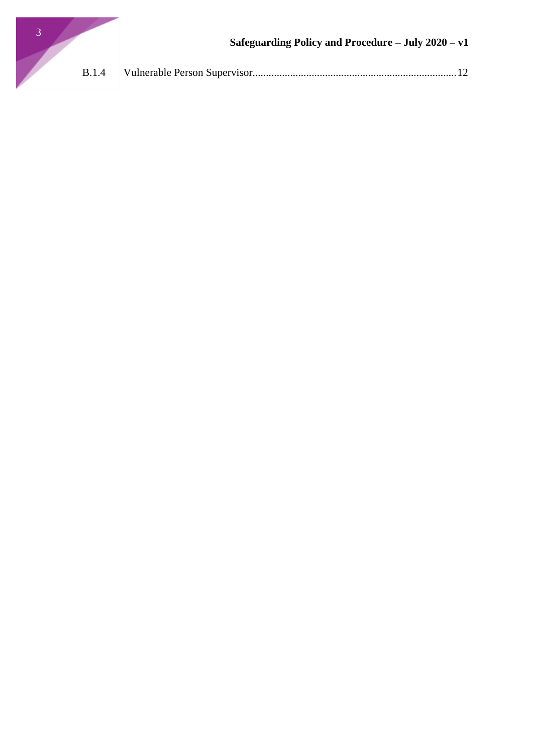

| <b>B.1.4</b> |  |  |  |
|--------------|--|--|--|
|--------------|--|--|--|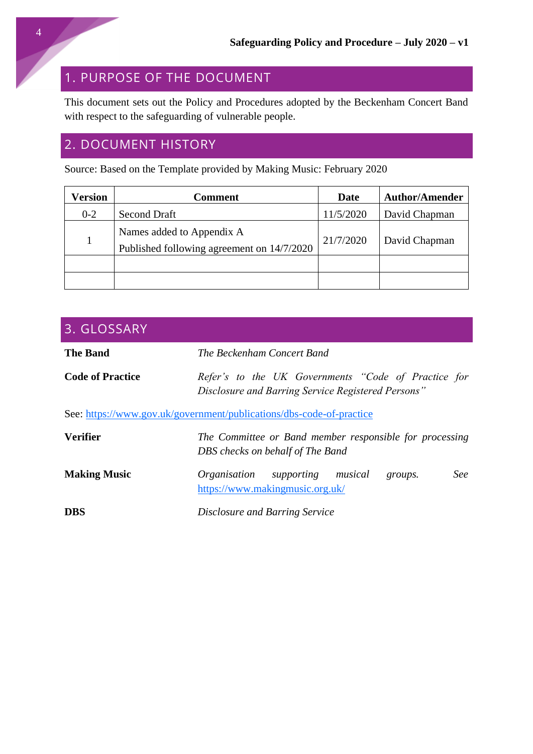## <span id="page-3-0"></span>1. PURPOSE OF THE DOCUMENT

This document sets out the Policy and Procedures adopted by the Beckenham Concert Band with respect to the safeguarding of vulnerable people.

## <span id="page-3-1"></span>2. DOCUMENT HISTORY

Source: Based on the Template provided by Making Music: February 2020

| <b>Version</b> | <b>Comment</b>                                                          | Date      | <b>Author/Amender</b> |
|----------------|-------------------------------------------------------------------------|-----------|-----------------------|
| $0 - 2$        | <b>Second Draft</b>                                                     | 11/5/2020 | David Chapman         |
|                | Names added to Appendix A<br>Published following agreement on 14/7/2020 | 21/7/2020 | David Chapman         |
|                |                                                                         |           |                       |
|                |                                                                         |           |                       |

<span id="page-3-2"></span>

| 3. GLOSSARY                                                          |                                                                                                           |  |  |  |
|----------------------------------------------------------------------|-----------------------------------------------------------------------------------------------------------|--|--|--|
| <b>The Band</b>                                                      | The Beckenham Concert Band                                                                                |  |  |  |
| <b>Code of Practice</b>                                              | Refer's to the UK Governments "Code of Practice for<br>Disclosure and Barring Service Registered Persons" |  |  |  |
| See: https://www.gov.uk/government/publications/dbs-code-of-practice |                                                                                                           |  |  |  |
| <b>Verifier</b>                                                      | The Committee or Band member responsible for processing<br>DBS checks on behalf of The Band               |  |  |  |
| <b>Making Music</b>                                                  | See<br>Organisation supporting musical<br>groups.<br>https://www.makingmusic.org.uk/                      |  |  |  |
| <b>DBS</b>                                                           | Disclosure and Barring Service                                                                            |  |  |  |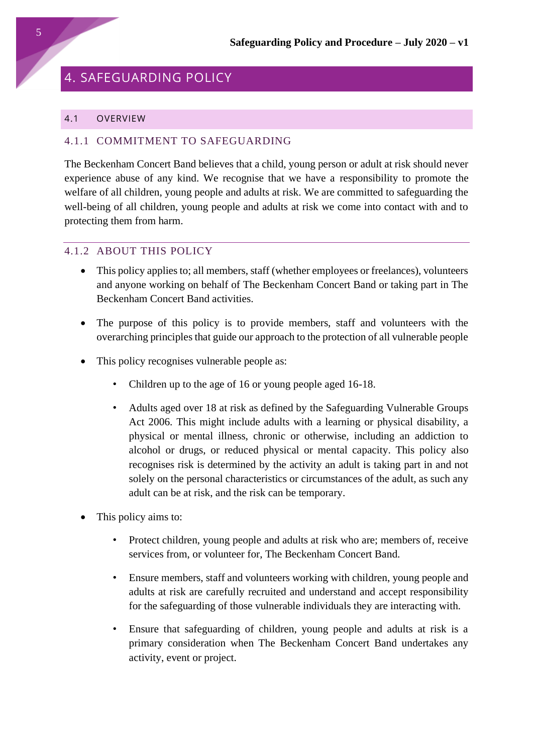## <span id="page-4-0"></span>4. SAFEGUARDING POLICY

#### <span id="page-4-1"></span>4.1 OVERVIEW

#### <span id="page-4-2"></span>4.1.1 COMMITMENT TO SAFEGUARDING

The Beckenham Concert Band believes that a child, young person or adult at risk should never experience abuse of any kind. We recognise that we have a responsibility to promote the welfare of all children, young people and adults at risk. We are committed to safeguarding the well-being of all children, young people and adults at risk we come into contact with and to protecting them from harm.

### <span id="page-4-3"></span>4.1.2 ABOUT THIS POLICY

- This policy applies to; all members, staff (whether employees or freelances), volunteers and anyone working on behalf of The Beckenham Concert Band or taking part in The Beckenham Concert Band activities.
- The purpose of this policy is to provide members, staff and volunteers with the overarching principles that guide our approach to the protection of all vulnerable people
- This policy recognises vulnerable people as:
	- Children up to the age of 16 or young people aged 16-18.
	- Adults aged over 18 at risk as defined by the Safeguarding Vulnerable Groups Act 2006. This might include adults with a learning or physical disability, a physical or mental illness, chronic or otherwise, including an addiction to alcohol or drugs, or reduced physical or mental capacity. This policy also recognises risk is determined by the activity an adult is taking part in and not solely on the personal characteristics or circumstances of the adult, as such any adult can be at risk, and the risk can be temporary.
- This policy aims to:
	- Protect children, young people and adults at risk who are; members of, receive services from, or volunteer for, The Beckenham Concert Band.
	- Ensure members, staff and volunteers working with children, young people and adults at risk are carefully recruited and understand and accept responsibility for the safeguarding of those vulnerable individuals they are interacting with.
	- Ensure that safeguarding of children, young people and adults at risk is a primary consideration when The Beckenham Concert Band undertakes any activity, event or project.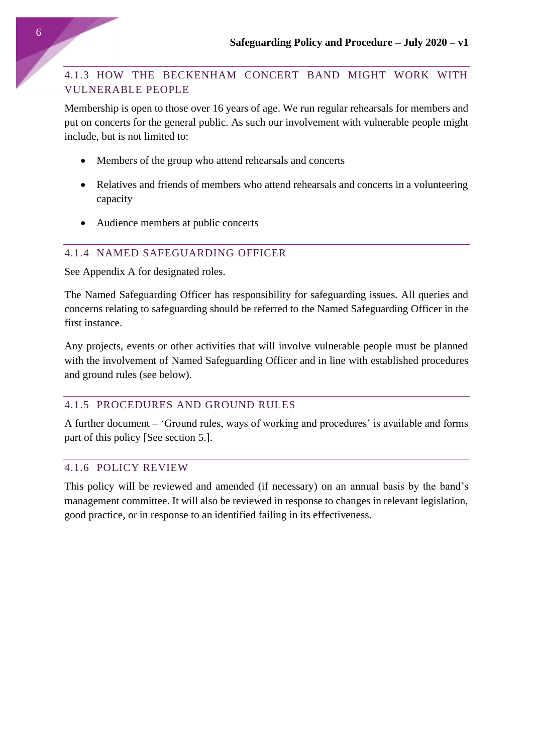## <span id="page-5-0"></span>4.1.3 HOW THE BECKENHAM CONCERT BAND MIGHT WORK WITH VULNERABLE PEOPLE

Membership is open to those over 16 years of age. We run regular rehearsals for members and put on concerts for the general public. As such our involvement with vulnerable people might include, but is not limited to:

- Members of the group who attend rehearsals and concerts
- Relatives and friends of members who attend rehearsals and concerts in a volunteering capacity
- Audience members at public concerts

### <span id="page-5-1"></span>4.1.4 NAMED SAFEGUARDING OFFICER

See Appendix A for designated roles.

The Named Safeguarding Officer has responsibility for safeguarding issues. All queries and concerns relating to safeguarding should be referred to the Named Safeguarding Officer in the first instance.

Any projects, events or other activities that will involve vulnerable people must be planned with the involvement of Named Safeguarding Officer and in line with established procedures and ground rules (see below).

## <span id="page-5-2"></span>4.1.5 PROCEDURES AND GROUND RULES

A further document – 'Ground rules, ways of working and procedures' is available and forms part of this policy [See section 5.].

### <span id="page-5-3"></span>4.1.6 POLICY REVIEW

This policy will be reviewed and amended (if necessary) on an annual basis by the band's management committee. It will also be reviewed in response to changes in relevant legislation, good practice, or in response to an identified failing in its effectiveness.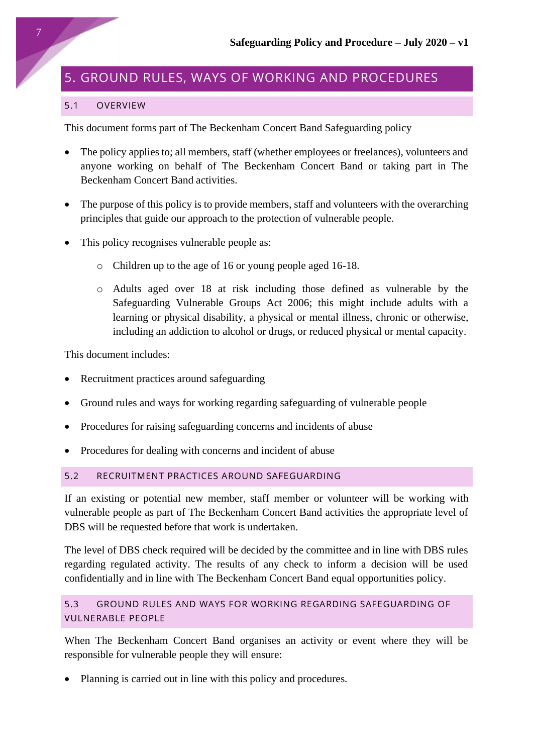## <span id="page-6-0"></span>5. GROUND RULES, WAYS OF WORKING AND PROCEDURES

#### <span id="page-6-1"></span>5.1 OVERVIEW

This document forms part of The Beckenham Concert Band Safeguarding policy

- The policy applies to; all members, staff (whether employees or freelances), volunteers and anyone working on behalf of The Beckenham Concert Band or taking part in The Beckenham Concert Band activities.
- The purpose of this policy is to provide members, staff and volunteers with the overarching principles that guide our approach to the protection of vulnerable people.
- This policy recognises vulnerable people as:
	- o Children up to the age of 16 or young people aged 16-18.
	- o Adults aged over 18 at risk including those defined as vulnerable by the Safeguarding Vulnerable Groups Act 2006; this might include adults with a learning or physical disability, a physical or mental illness, chronic or otherwise, including an addiction to alcohol or drugs, or reduced physical or mental capacity.

This document includes:

- Recruitment practices around safeguarding
- Ground rules and ways for working regarding safeguarding of vulnerable people
- Procedures for raising safeguarding concerns and incidents of abuse
- Procedures for dealing with concerns and incident of abuse

### <span id="page-6-2"></span>5.2 RECRUITMENT PRACTICES AROUND SAFEGUARDING

If an existing or potential new member, staff member or volunteer will be working with vulnerable people as part of The Beckenham Concert Band activities the appropriate level of DBS will be requested before that work is undertaken.

The level of DBS check required will be decided by the committee and in line with DBS rules regarding regulated activity. The results of any check to inform a decision will be used confidentially and in line with The Beckenham Concert Band equal opportunities policy.

## <span id="page-6-3"></span>5.3 GROUND RULES AND WAYS FOR WORKING REGARDING SAFEGUARDING OF VULNERABLE PEOPLE

When The Beckenham Concert Band organises an activity or event where they will be responsible for vulnerable people they will ensure:

• Planning is carried out in line with this policy and procedures.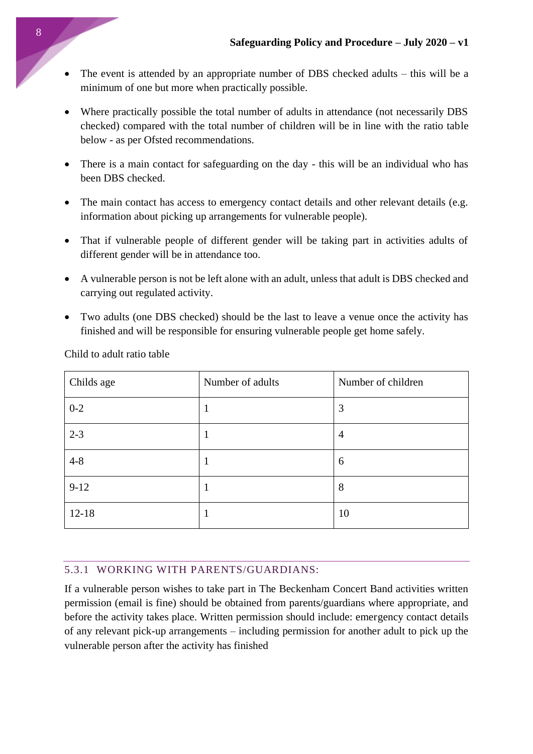- The event is attended by an appropriate number of DBS checked adults this will be a minimum of one but more when practically possible.
- Where practically possible the total number of adults in attendance (not necessarily DBS checked) compared with the total number of children will be in line with the ratio table below - as per Ofsted recommendations.
- There is a main contact for safeguarding on the day this will be an individual who has been DBS checked.
- The main contact has access to emergency contact details and other relevant details (e.g. information about picking up arrangements for vulnerable people).
- That if vulnerable people of different gender will be taking part in activities adults of different gender will be in attendance too.
- A vulnerable person is not be left alone with an adult, unless that adult is DBS checked and carrying out regulated activity.
- Two adults (one DBS checked) should be the last to leave a venue once the activity has finished and will be responsible for ensuring vulnerable people get home safely.

| Childs age | Number of adults | Number of children |
|------------|------------------|--------------------|
| $0 - 2$    |                  | 3                  |
| $2 - 3$    |                  | 4                  |
| $4 - 8$    |                  | 6                  |
| $9-12$     |                  | 8                  |
| $12 - 18$  |                  | 10                 |

Child to adult ratio table

## <span id="page-7-0"></span>5.3.1 WORKING WITH PARENTS/GUARDIANS:

If a vulnerable person wishes to take part in The Beckenham Concert Band activities written permission (email is fine) should be obtained from parents/guardians where appropriate, and before the activity takes place. Written permission should include: emergency contact details of any relevant pick-up arrangements – including permission for another adult to pick up the vulnerable person after the activity has finished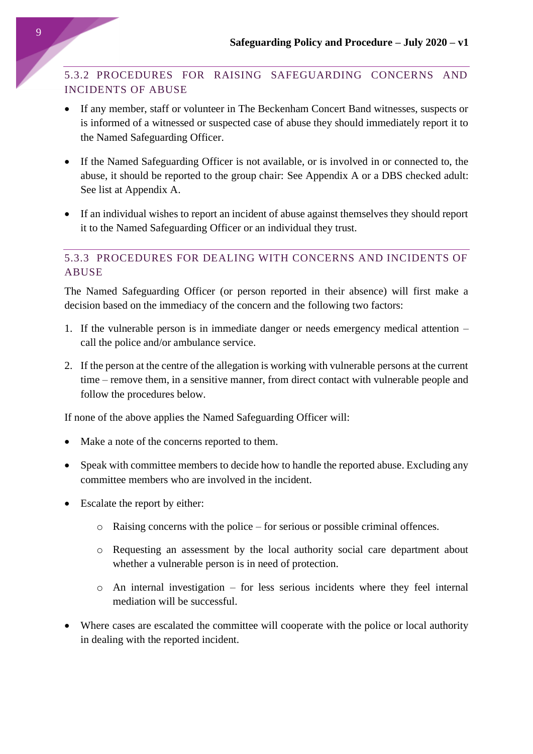## <span id="page-8-0"></span>5.3.2 PROCEDURES FOR RAISING SAFEGUARDING CONCERNS AND INCIDENTS OF ABUSE

- If any member, staff or volunteer in The Beckenham Concert Band witnesses, suspects or is informed of a witnessed or suspected case of abuse they should immediately report it to the Named Safeguarding Officer.
- If the Named Safeguarding Officer is not available, or is involved in or connected to, the abuse, it should be reported to the group chair: See Appendix A or a DBS checked adult: See list at Appendix A.
- If an individual wishes to report an incident of abuse against themselves they should report it to the Named Safeguarding Officer or an individual they trust.

## <span id="page-8-1"></span>5.3.3 PROCEDURES FOR DEALING WITH CONCERNS AND INCIDENTS OF ABUSE

The Named Safeguarding Officer (or person reported in their absence) will first make a decision based on the immediacy of the concern and the following two factors:

- 1. If the vulnerable person is in immediate danger or needs emergency medical attention call the police and/or ambulance service.
- 2. If the person at the centre of the allegation is working with vulnerable persons at the current time – remove them, in a sensitive manner, from direct contact with vulnerable people and follow the procedures below.

If none of the above applies the Named Safeguarding Officer will:

- Make a note of the concerns reported to them.
- Speak with committee members to decide how to handle the reported abuse. Excluding any committee members who are involved in the incident.
- Escalate the report by either:
	- o Raising concerns with the police for serious or possible criminal offences.
	- o Requesting an assessment by the local authority social care department about whether a vulnerable person is in need of protection.
	- o An internal investigation for less serious incidents where they feel internal mediation will be successful.
- Where cases are escalated the committee will cooperate with the police or local authority in dealing with the reported incident.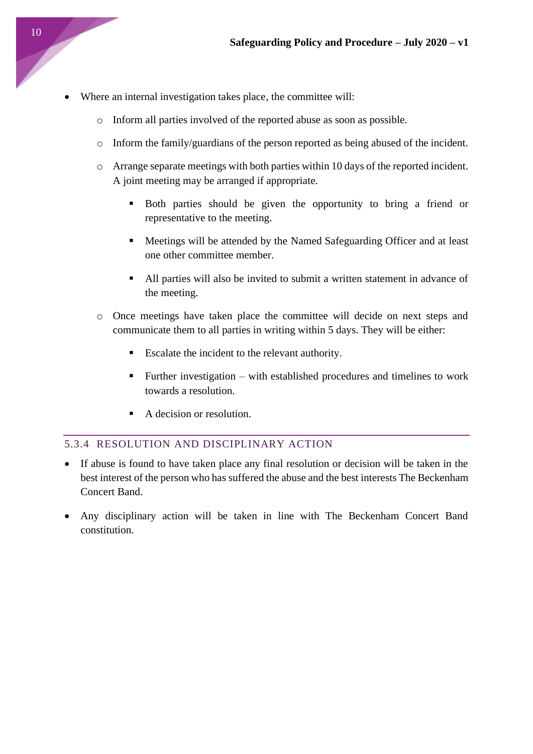- Where an internal investigation takes place, the committee will:
	- o Inform all parties involved of the reported abuse as soon as possible.
	- $\circ$  Inform the family/guardians of the person reported as being abused of the incident.
	- o Arrange separate meetings with both parties within 10 days of the reported incident. A joint meeting may be arranged if appropriate.
		- Both parties should be given the opportunity to bring a friend or representative to the meeting.
		- Meetings will be attended by the Named Safeguarding Officer and at least one other committee member.
		- All parties will also be invited to submit a written statement in advance of the meeting.
	- o Once meetings have taken place the committee will decide on next steps and communicate them to all parties in writing within 5 days. They will be either:
		- Escalate the incident to the relevant authority.
		- Further investigation with established procedures and timelines to work towards a resolution.
		- A decision or resolution.

### <span id="page-9-0"></span>5.3.4 RESOLUTION AND DISCIPLINARY ACTION

- If abuse is found to have taken place any final resolution or decision will be taken in the best interest of the person who has suffered the abuse and the best interests The Beckenham Concert Band.
- Any disciplinary action will be taken in line with The Beckenham Concert Band constitution.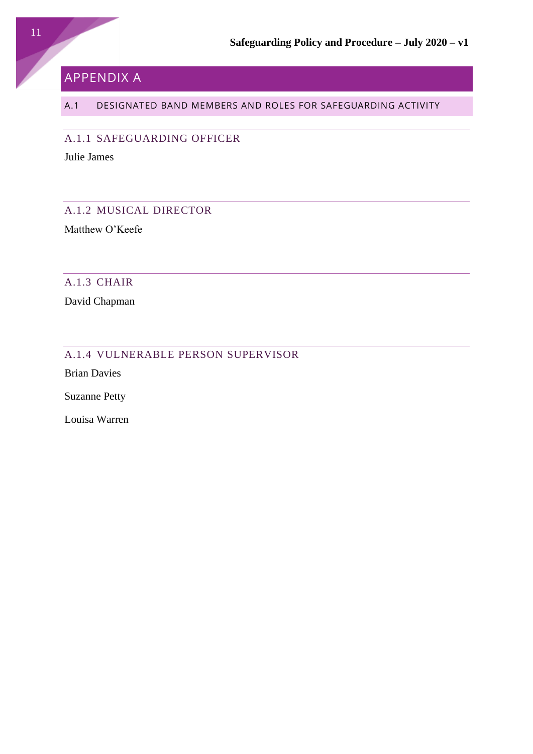## <span id="page-10-0"></span>APPENDIX A

## <span id="page-10-1"></span>A.1 DESIGNATED BAND MEMBERS AND ROLES FOR SAFEGUARDING ACTIVITY

<span id="page-10-2"></span>A.1.1 SAFEGUARDING OFFICER

Julie James

## <span id="page-10-3"></span>A.1.2 MUSICAL DIRECTOR

Matthew O'Keefe

### <span id="page-10-4"></span>A.1.3 CHAIR

David Chapman

## <span id="page-10-5"></span>A.1.4 VULNERABLE PERSON SUPERVISOR

Brian Davies

Suzanne Petty

Louisa Warren